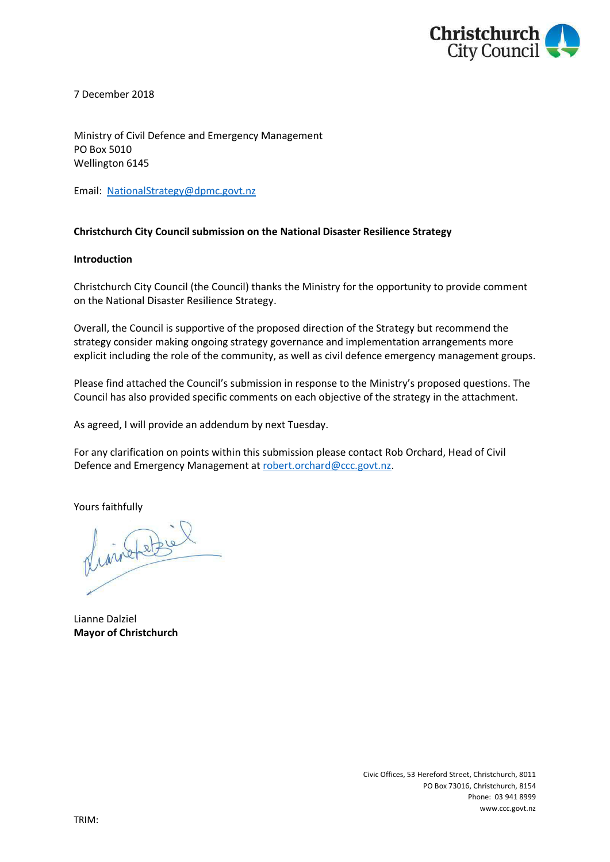

7 December 2018

Ministry of Civil Defence and Emergency Management PO Box 5010 Wellington 6145

Email: [NationalStrategy@dpmc.govt.nz](mailto:NationalStrategy@dpmc.govt.nz?subject=National%20Disaster%20Resilience%20Strategy%20submission)

### **Christchurch City Council submission on the National Disaster Resilience Strategy**

### **Introduction**

Christchurch City Council (the Council) thanks the Ministry for the opportunity to provide comment on the National Disaster Resilience Strategy.

Overall, the Council is supportive of the proposed direction of the Strategy but recommend the strategy consider making ongoing strategy governance and implementation arrangements more explicit including the role of the community, as well as civil defence emergency management groups.

Please find attached the Council's submission in response to the Ministry's proposed questions. The Council has also provided specific comments on each objective of the strategy in the attachment.

As agreed, I will provide an addendum by next Tuesday.

For any clarification on points within this submission please contact Rob Orchard, Head of Civil Defence and Emergency Management at [robert.orchard@ccc.govt.nz.](mailto:robert.orchard@ccc.govt.nz)

Yours faithfully

finishetzel

Lianne Dalziel **Mayor of Christchurch**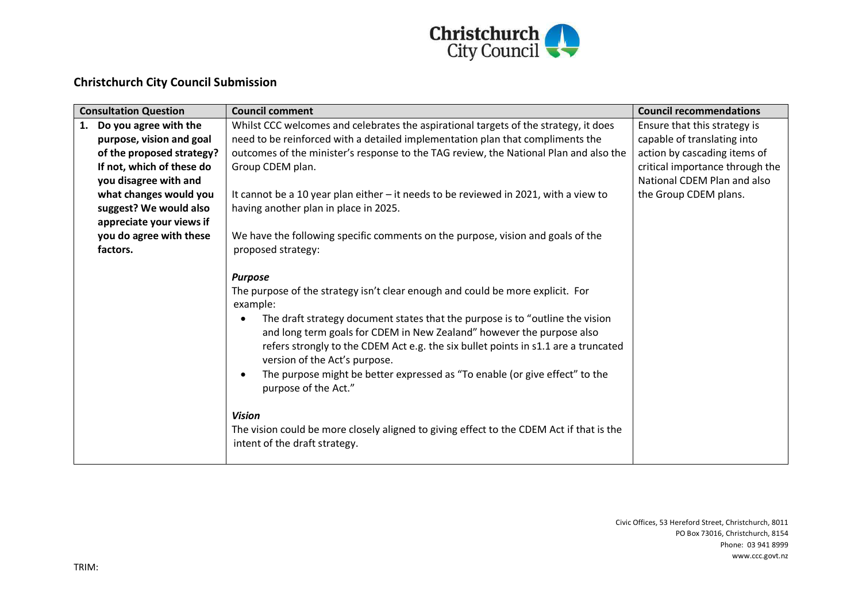

# **Christchurch City Council Submission**

|    | <b>Consultation Question</b> | <b>Council comment</b>                                                                                                                                                                                                                                                                                                                                                                                                                                                                                                                                                                                                                             | <b>Council recommendations</b>  |
|----|------------------------------|----------------------------------------------------------------------------------------------------------------------------------------------------------------------------------------------------------------------------------------------------------------------------------------------------------------------------------------------------------------------------------------------------------------------------------------------------------------------------------------------------------------------------------------------------------------------------------------------------------------------------------------------------|---------------------------------|
| 1. | Do you agree with the        | Whilst CCC welcomes and celebrates the aspirational targets of the strategy, it does                                                                                                                                                                                                                                                                                                                                                                                                                                                                                                                                                               | Ensure that this strategy is    |
|    | purpose, vision and goal     | need to be reinforced with a detailed implementation plan that compliments the                                                                                                                                                                                                                                                                                                                                                                                                                                                                                                                                                                     | capable of translating into     |
|    | of the proposed strategy?    | outcomes of the minister's response to the TAG review, the National Plan and also the                                                                                                                                                                                                                                                                                                                                                                                                                                                                                                                                                              | action by cascading items of    |
|    | If not, which of these do    | Group CDEM plan.                                                                                                                                                                                                                                                                                                                                                                                                                                                                                                                                                                                                                                   | critical importance through the |
|    | you disagree with and        |                                                                                                                                                                                                                                                                                                                                                                                                                                                                                                                                                                                                                                                    | National CDEM Plan and also     |
|    | what changes would you       | It cannot be a 10 year plan either - it needs to be reviewed in 2021, with a view to                                                                                                                                                                                                                                                                                                                                                                                                                                                                                                                                                               | the Group CDEM plans.           |
|    | suggest? We would also       | having another plan in place in 2025.                                                                                                                                                                                                                                                                                                                                                                                                                                                                                                                                                                                                              |                                 |
|    | appreciate your views if     |                                                                                                                                                                                                                                                                                                                                                                                                                                                                                                                                                                                                                                                    |                                 |
|    | you do agree with these      | We have the following specific comments on the purpose, vision and goals of the                                                                                                                                                                                                                                                                                                                                                                                                                                                                                                                                                                    |                                 |
|    | factors.                     | proposed strategy:                                                                                                                                                                                                                                                                                                                                                                                                                                                                                                                                                                                                                                 |                                 |
|    |                              | <b>Purpose</b><br>The purpose of the strategy isn't clear enough and could be more explicit. For<br>example:<br>The draft strategy document states that the purpose is to "outline the vision<br>and long term goals for CDEM in New Zealand" however the purpose also<br>refers strongly to the CDEM Act e.g. the six bullet points in s1.1 are a truncated<br>version of the Act's purpose.<br>The purpose might be better expressed as "To enable (or give effect" to the<br>purpose of the Act."<br><b>Vision</b><br>The vision could be more closely aligned to giving effect to the CDEM Act if that is the<br>intent of the draft strategy. |                                 |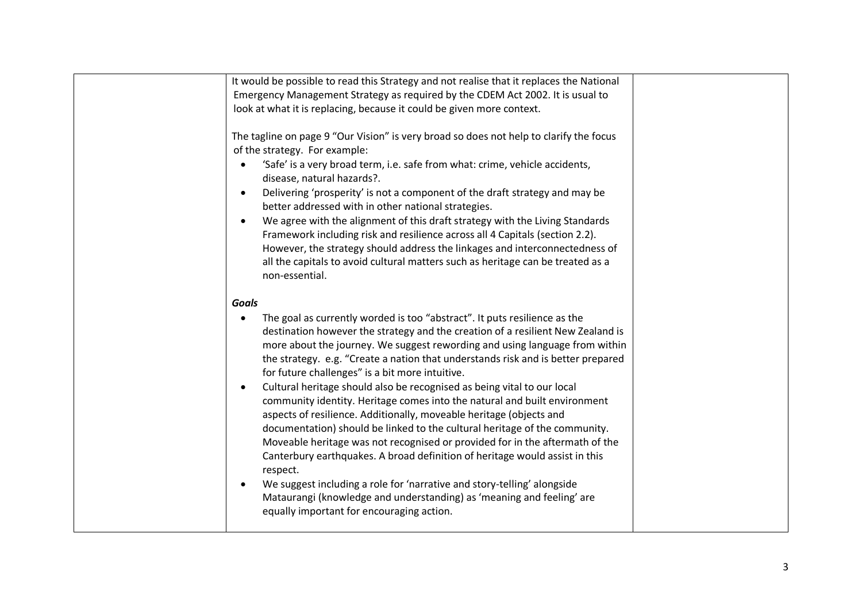| It would be possible to read this Strategy and not realise that it replaces the National                                                                                                                                                                                                                                                                                                                                                                                                                                                                                                                                                                                                                                                                                                                                                                                   |  |
|----------------------------------------------------------------------------------------------------------------------------------------------------------------------------------------------------------------------------------------------------------------------------------------------------------------------------------------------------------------------------------------------------------------------------------------------------------------------------------------------------------------------------------------------------------------------------------------------------------------------------------------------------------------------------------------------------------------------------------------------------------------------------------------------------------------------------------------------------------------------------|--|
| Emergency Management Strategy as required by the CDEM Act 2002. It is usual to                                                                                                                                                                                                                                                                                                                                                                                                                                                                                                                                                                                                                                                                                                                                                                                             |  |
| look at what it is replacing, because it could be given more context.                                                                                                                                                                                                                                                                                                                                                                                                                                                                                                                                                                                                                                                                                                                                                                                                      |  |
| The tagline on page 9 "Our Vision" is very broad so does not help to clarify the focus<br>of the strategy. For example:<br>'Safe' is a very broad term, i.e. safe from what: crime, vehicle accidents,<br>disease, natural hazards?.<br>Delivering 'prosperity' is not a component of the draft strategy and may be<br>$\bullet$<br>better addressed with in other national strategies.<br>We agree with the alignment of this draft strategy with the Living Standards<br>$\bullet$<br>Framework including risk and resilience across all 4 Capitals (section 2.2).                                                                                                                                                                                                                                                                                                       |  |
| However, the strategy should address the linkages and interconnectedness of                                                                                                                                                                                                                                                                                                                                                                                                                                                                                                                                                                                                                                                                                                                                                                                                |  |
| all the capitals to avoid cultural matters such as heritage can be treated as a<br>non-essential.                                                                                                                                                                                                                                                                                                                                                                                                                                                                                                                                                                                                                                                                                                                                                                          |  |
| <b>Goals</b>                                                                                                                                                                                                                                                                                                                                                                                                                                                                                                                                                                                                                                                                                                                                                                                                                                                               |  |
| The goal as currently worded is too "abstract". It puts resilience as the<br>destination however the strategy and the creation of a resilient New Zealand is<br>more about the journey. We suggest rewording and using language from within<br>the strategy. e.g. "Create a nation that understands risk and is better prepared<br>for future challenges" is a bit more intuitive.<br>Cultural heritage should also be recognised as being vital to our local<br>community identity. Heritage comes into the natural and built environment<br>aspects of resilience. Additionally, moveable heritage (objects and<br>documentation) should be linked to the cultural heritage of the community.<br>Moveable heritage was not recognised or provided for in the aftermath of the<br>Canterbury earthquakes. A broad definition of heritage would assist in this<br>respect. |  |
| We suggest including a role for 'narrative and story-telling' alongside<br>Mataurangi (knowledge and understanding) as 'meaning and feeling' are<br>equally important for encouraging action.                                                                                                                                                                                                                                                                                                                                                                                                                                                                                                                                                                                                                                                                              |  |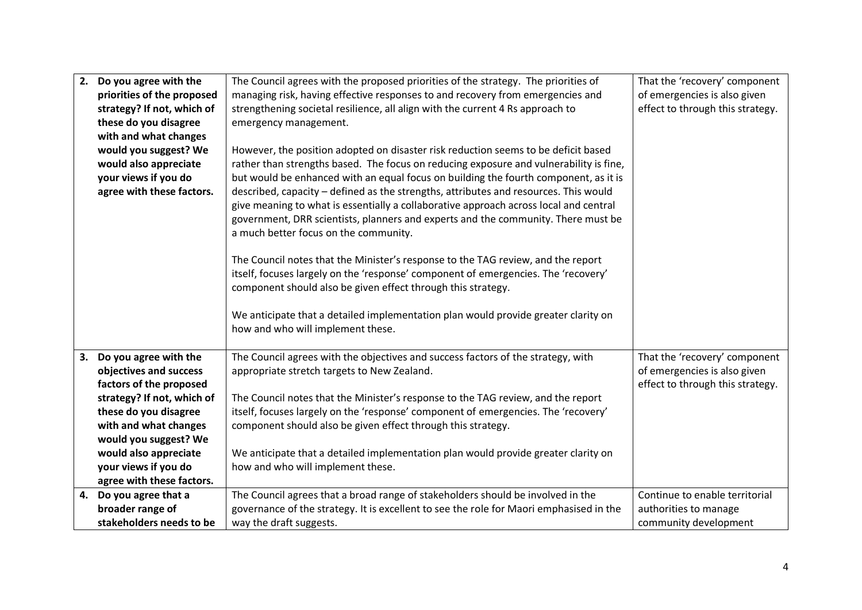| 2.<br>Do you agree with the | The Council agrees with the proposed priorities of the strategy. The priorities of      | That the 'recovery' component    |
|-----------------------------|-----------------------------------------------------------------------------------------|----------------------------------|
| priorities of the proposed  | managing risk, having effective responses to and recovery from emergencies and          | of emergencies is also given     |
| strategy? If not, which of  | strengthening societal resilience, all align with the current 4 Rs approach to          |                                  |
| these do you disagree       | emergency management.                                                                   |                                  |
| with and what changes       |                                                                                         |                                  |
| would you suggest? We       | However, the position adopted on disaster risk reduction seems to be deficit based      |                                  |
| would also appreciate       | rather than strengths based. The focus on reducing exposure and vulnerability is fine,  |                                  |
| your views if you do        | but would be enhanced with an equal focus on building the fourth component, as it is    |                                  |
| agree with these factors.   | described, capacity - defined as the strengths, attributes and resources. This would    |                                  |
|                             | give meaning to what is essentially a collaborative approach across local and central   |                                  |
|                             | government, DRR scientists, planners and experts and the community. There must be       |                                  |
|                             | a much better focus on the community.                                                   |                                  |
|                             |                                                                                         |                                  |
|                             | The Council notes that the Minister's response to the TAG review, and the report        |                                  |
|                             | itself, focuses largely on the 'response' component of emergencies. The 'recovery'      |                                  |
|                             | component should also be given effect through this strategy.                            |                                  |
|                             |                                                                                         |                                  |
|                             | We anticipate that a detailed implementation plan would provide greater clarity on      |                                  |
|                             | how and who will implement these.                                                       |                                  |
| Do you agree with the<br>3. | The Council agrees with the objectives and success factors of the strategy, with        | That the 'recovery' component    |
| objectives and success      | appropriate stretch targets to New Zealand.                                             | of emergencies is also given     |
| factors of the proposed     |                                                                                         | effect to through this strategy. |
| strategy? If not, which of  | The Council notes that the Minister's response to the TAG review, and the report        |                                  |
| these do you disagree       | itself, focuses largely on the 'response' component of emergencies. The 'recovery'      |                                  |
| with and what changes       | component should also be given effect through this strategy.                            |                                  |
| would you suggest? We       |                                                                                         |                                  |
| would also appreciate       | We anticipate that a detailed implementation plan would provide greater clarity on      |                                  |
| your views if you do        | how and who will implement these.                                                       |                                  |
| agree with these factors.   |                                                                                         |                                  |
| Do you agree that a<br>4.   | The Council agrees that a broad range of stakeholders should be involved in the         | Continue to enable territorial   |
| broader range of            | governance of the strategy. It is excellent to see the role for Maori emphasised in the | authorities to manage            |
| stakeholders needs to be    | way the draft suggests.                                                                 | community development            |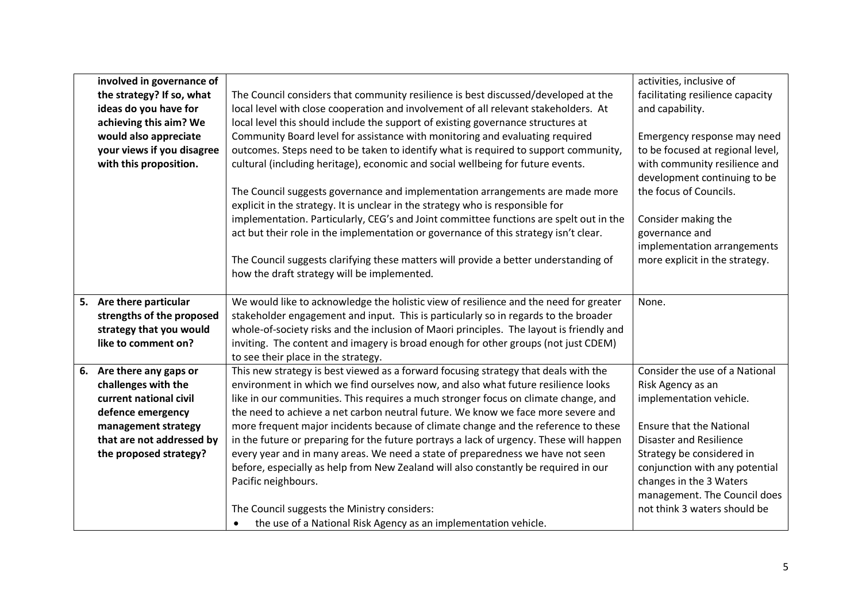|                        | involved in governance of  |                                                                                          | activities, inclusive of         |
|------------------------|----------------------------|------------------------------------------------------------------------------------------|----------------------------------|
|                        | the strategy? If so, what  | The Council considers that community resilience is best discussed/developed at the       | facilitating resilience capacity |
|                        | ideas do you have for      | local level with close cooperation and involvement of all relevant stakeholders. At      | and capability.                  |
| achieving this aim? We |                            | local level this should include the support of existing governance structures at         |                                  |
|                        | would also appreciate      | Community Board level for assistance with monitoring and evaluating required             | Emergency response may need      |
|                        | your views if you disagree | outcomes. Steps need to be taken to identify what is required to support community,      | to be focused at regional level, |
|                        | with this proposition.     | cultural (including heritage), economic and social wellbeing for future events.          | with community resilience and    |
|                        |                            |                                                                                          | development continuing to be     |
|                        |                            | The Council suggests governance and implementation arrangements are made more            | the focus of Councils.           |
|                        |                            | explicit in the strategy. It is unclear in the strategy who is responsible for           |                                  |
|                        |                            | implementation. Particularly, CEG's and Joint committee functions are spelt out in the   | Consider making the              |
|                        |                            | act but their role in the implementation or governance of this strategy isn't clear.     | governance and                   |
|                        |                            |                                                                                          | implementation arrangements      |
|                        |                            | The Council suggests clarifying these matters will provide a better understanding of     | more explicit in the strategy.   |
|                        |                            | how the draft strategy will be implemented.                                              |                                  |
|                        |                            |                                                                                          |                                  |
|                        | 5. Are there particular    | We would like to acknowledge the holistic view of resilience and the need for greater    | None.                            |
|                        | strengths of the proposed  | stakeholder engagement and input. This is particularly so in regards to the broader      |                                  |
|                        | strategy that you would    | whole-of-society risks and the inclusion of Maori principles. The layout is friendly and |                                  |
|                        | like to comment on?        | inviting. The content and imagery is broad enough for other groups (not just CDEM)       |                                  |
|                        |                            | to see their place in the strategy.                                                      |                                  |
|                        | 6. Are there any gaps or   | This new strategy is best viewed as a forward focusing strategy that deals with the      | Consider the use of a National   |
|                        | challenges with the        | environment in which we find ourselves now, and also what future resilience looks        | Risk Agency as an                |
|                        | current national civil     | like in our communities. This requires a much stronger focus on climate change, and      | implementation vehicle.          |
|                        | defence emergency          | the need to achieve a net carbon neutral future. We know we face more severe and         |                                  |
|                        | management strategy        | more frequent major incidents because of climate change and the reference to these       | <b>Ensure that the National</b>  |
|                        | that are not addressed by  | in the future or preparing for the future portrays a lack of urgency. These will happen  | <b>Disaster and Resilience</b>   |
|                        | the proposed strategy?     | every year and in many areas. We need a state of preparedness we have not seen           | Strategy be considered in        |
|                        |                            | before, especially as help from New Zealand will also constantly be required in our      | conjunction with any potential   |
|                        |                            | Pacific neighbours.                                                                      | changes in the 3 Waters          |
|                        |                            |                                                                                          | management. The Council does     |
|                        |                            | The Council suggests the Ministry considers:                                             | not think 3 waters should be     |
|                        |                            | the use of a National Risk Agency as an implementation vehicle.                          |                                  |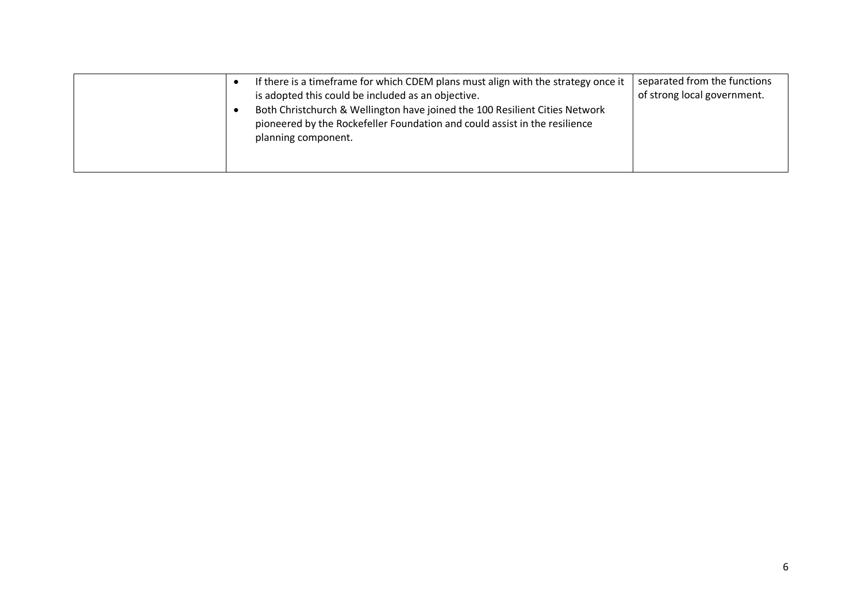|  | If there is a timeframe for which CDEM plans must align with the strategy once it<br>is adopted this could be included as an objective.<br>Both Christchurch & Wellington have joined the 100 Resilient Cities Network<br>pioneered by the Rockefeller Foundation and could assist in the resilience<br>planning component. | separated from the functions<br>of strong local government. |
|--|-----------------------------------------------------------------------------------------------------------------------------------------------------------------------------------------------------------------------------------------------------------------------------------------------------------------------------|-------------------------------------------------------------|
|--|-----------------------------------------------------------------------------------------------------------------------------------------------------------------------------------------------------------------------------------------------------------------------------------------------------------------------------|-------------------------------------------------------------|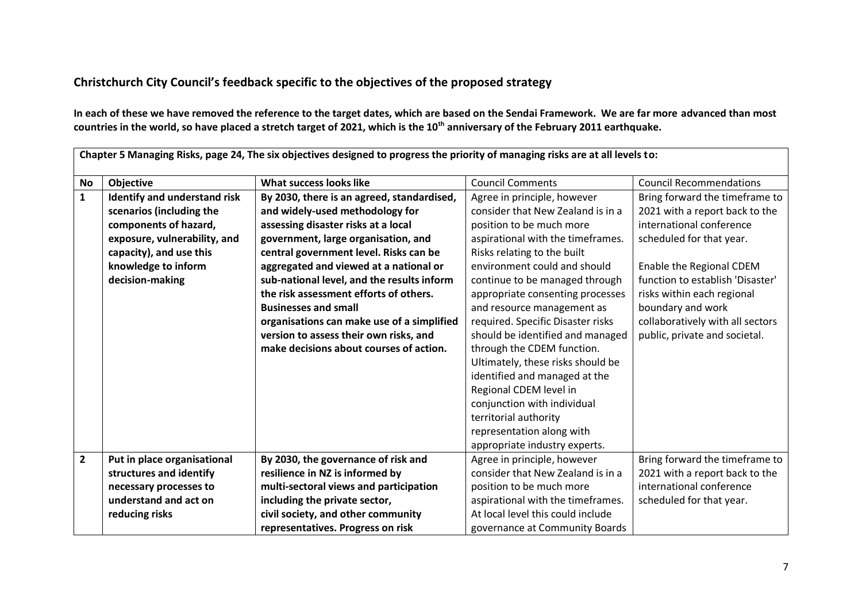## **Christchurch City Council's feedback specific to the objectives of the proposed strategy**

**In each of these we have removed the reference to the target dates, which are based on the Sendai Framework. We are far more advanced than most countries in the world, so have placed a stretch target of 2021, which is the 10th anniversary of the February 2011 earthquake.**

|                         | Chapter 5 Managing Risks, page 24, The six objectives designed to progress the priority of managing risks are at all levels to: |                                            |                                   |                                  |  |
|-------------------------|---------------------------------------------------------------------------------------------------------------------------------|--------------------------------------------|-----------------------------------|----------------------------------|--|
| <b>No</b>               | <b>Objective</b>                                                                                                                | What success looks like                    | <b>Council Comments</b>           | <b>Council Recommendations</b>   |  |
| $\mathbf 1$             | Identify and understand risk                                                                                                    | By 2030, there is an agreed, standardised, | Agree in principle, however       | Bring forward the timeframe to   |  |
|                         | scenarios (including the                                                                                                        | and widely-used methodology for            | consider that New Zealand is in a | 2021 with a report back to the   |  |
|                         | components of hazard,                                                                                                           | assessing disaster risks at a local        | position to be much more          | international conference         |  |
|                         | exposure, vulnerability, and                                                                                                    | government, large organisation, and        | aspirational with the timeframes. | scheduled for that year.         |  |
|                         | capacity), and use this                                                                                                         | central government level. Risks can be     | Risks relating to the built       |                                  |  |
|                         | knowledge to inform                                                                                                             | aggregated and viewed at a national or     | environment could and should      | Enable the Regional CDEM         |  |
|                         | decision-making                                                                                                                 | sub-national level, and the results inform | continue to be managed through    | function to establish 'Disaster' |  |
|                         |                                                                                                                                 | the risk assessment efforts of others.     | appropriate consenting processes  | risks within each regional       |  |
|                         |                                                                                                                                 | <b>Businesses and small</b>                | and resource management as        | boundary and work                |  |
|                         |                                                                                                                                 | organisations can make use of a simplified | required. Specific Disaster risks | collaboratively with all sectors |  |
|                         |                                                                                                                                 | version to assess their own risks, and     | should be identified and managed  | public, private and societal.    |  |
|                         |                                                                                                                                 | make decisions about courses of action.    | through the CDEM function.        |                                  |  |
|                         |                                                                                                                                 |                                            | Ultimately, these risks should be |                                  |  |
|                         |                                                                                                                                 |                                            | identified and managed at the     |                                  |  |
|                         |                                                                                                                                 |                                            | Regional CDEM level in            |                                  |  |
|                         |                                                                                                                                 |                                            | conjunction with individual       |                                  |  |
|                         |                                                                                                                                 |                                            | territorial authority             |                                  |  |
|                         |                                                                                                                                 |                                            | representation along with         |                                  |  |
|                         |                                                                                                                                 |                                            | appropriate industry experts.     |                                  |  |
| $\overline{\mathbf{2}}$ | Put in place organisational                                                                                                     | By 2030, the governance of risk and        | Agree in principle, however       | Bring forward the timeframe to   |  |
|                         | structures and identify                                                                                                         | resilience in NZ is informed by            | consider that New Zealand is in a | 2021 with a report back to the   |  |
|                         | necessary processes to                                                                                                          | multi-sectoral views and participation     | position to be much more          | international conference         |  |
|                         | understand and act on                                                                                                           | including the private sector,              | aspirational with the timeframes. | scheduled for that year.         |  |
|                         | reducing risks                                                                                                                  | civil society, and other community         | At local level this could include |                                  |  |
|                         |                                                                                                                                 | representatives. Progress on risk          | governance at Community Boards    |                                  |  |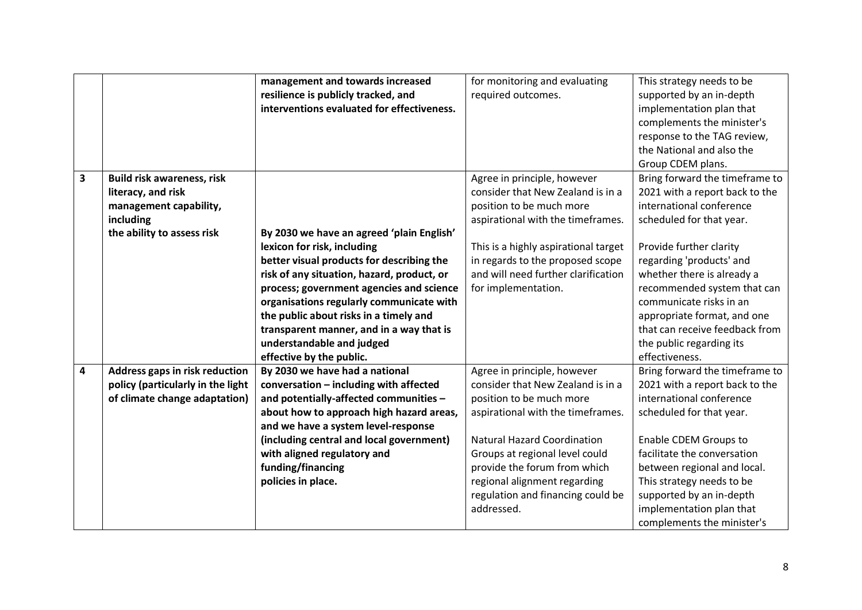|   |                                   | management and towards increased           | for monitoring and evaluating        | This strategy needs to be      |
|---|-----------------------------------|--------------------------------------------|--------------------------------------|--------------------------------|
|   |                                   | resilience is publicly tracked, and        | required outcomes.                   | supported by an in-depth       |
|   |                                   | interventions evaluated for effectiveness. |                                      | implementation plan that       |
|   |                                   |                                            |                                      | complements the minister's     |
|   |                                   |                                            |                                      | response to the TAG review,    |
|   |                                   |                                            |                                      | the National and also the      |
|   |                                   |                                            |                                      | Group CDEM plans.              |
| 3 | <b>Build risk awareness, risk</b> |                                            | Agree in principle, however          | Bring forward the timeframe to |
|   | literacy, and risk                |                                            | consider that New Zealand is in a    | 2021 with a report back to the |
|   | management capability,            |                                            | position to be much more             | international conference       |
|   | including                         |                                            | aspirational with the timeframes.    | scheduled for that year.       |
|   | the ability to assess risk        | By 2030 we have an agreed 'plain English'  |                                      |                                |
|   |                                   | lexicon for risk, including                | This is a highly aspirational target | Provide further clarity        |
|   |                                   | better visual products for describing the  | in regards to the proposed scope     | regarding 'products' and       |
|   |                                   | risk of any situation, hazard, product, or | and will need further clarification  | whether there is already a     |
|   |                                   | process; government agencies and science   | for implementation.                  | recommended system that can    |
|   |                                   | organisations regularly communicate with   |                                      | communicate risks in an        |
|   |                                   | the public about risks in a timely and     |                                      | appropriate format, and one    |
|   |                                   | transparent manner, and in a way that is   |                                      | that can receive feedback from |
|   |                                   | understandable and judged                  |                                      | the public regarding its       |
|   |                                   | effective by the public.                   |                                      | effectiveness.                 |
| 4 | Address gaps in risk reduction    | By 2030 we have had a national             | Agree in principle, however          | Bring forward the timeframe to |
|   | policy (particularly in the light | conversation - including with affected     | consider that New Zealand is in a    | 2021 with a report back to the |
|   | of climate change adaptation)     | and potentially-affected communities -     | position to be much more             | international conference       |
|   |                                   | about how to approach high hazard areas,   | aspirational with the timeframes.    | scheduled for that year.       |
|   |                                   | and we have a system level-response        |                                      |                                |
|   |                                   | (including central and local government)   | <b>Natural Hazard Coordination</b>   | Enable CDEM Groups to          |
|   |                                   | with aligned regulatory and                | Groups at regional level could       | facilitate the conversation    |
|   |                                   | funding/financing                          | provide the forum from which         | between regional and local.    |
|   |                                   | policies in place.                         | regional alignment regarding         | This strategy needs to be      |
|   |                                   |                                            | regulation and financing could be    | supported by an in-depth       |
|   |                                   |                                            | addressed.                           | implementation plan that       |
|   |                                   |                                            |                                      | complements the minister's     |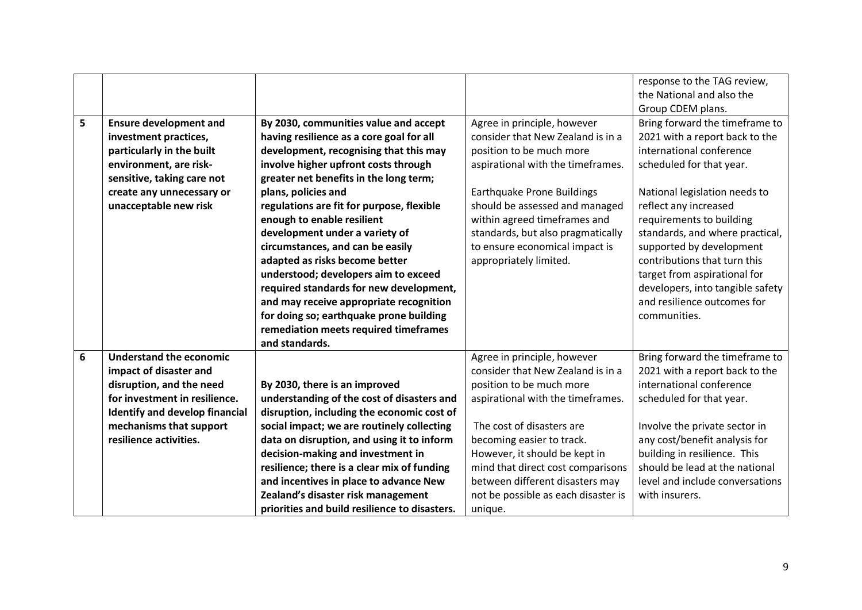|   |                                       |                                               |                                     | response to the TAG review,      |
|---|---------------------------------------|-----------------------------------------------|-------------------------------------|----------------------------------|
|   |                                       |                                               |                                     | the National and also the        |
|   |                                       |                                               |                                     | Group CDEM plans.                |
| 5 | <b>Ensure development and</b>         | By 2030, communities value and accept         | Agree in principle, however         | Bring forward the timeframe to   |
|   | investment practices,                 | having resilience as a core goal for all      | consider that New Zealand is in a   | 2021 with a report back to the   |
|   | particularly in the built             | development, recognising that this may        | position to be much more            | international conference         |
|   | environment, are risk-                | involve higher upfront costs through          | aspirational with the timeframes.   | scheduled for that year.         |
|   | sensitive, taking care not            | greater net benefits in the long term;        |                                     |                                  |
|   | create any unnecessary or             | plans, policies and                           | Earthquake Prone Buildings          | National legislation needs to    |
|   | unacceptable new risk                 | regulations are fit for purpose, flexible     | should be assessed and managed      | reflect any increased            |
|   |                                       | enough to enable resilient                    | within agreed timeframes and        | requirements to building         |
|   |                                       | development under a variety of                | standards, but also pragmatically   | standards, and where practical,  |
|   |                                       | circumstances, and can be easily              | to ensure economical impact is      | supported by development         |
|   |                                       | adapted as risks become better                | appropriately limited.              | contributions that turn this     |
|   |                                       | understood; developers aim to exceed          |                                     | target from aspirational for     |
|   |                                       | required standards for new development,       |                                     | developers, into tangible safety |
|   |                                       | and may receive appropriate recognition       |                                     | and resilience outcomes for      |
|   |                                       | for doing so; earthquake prone building       |                                     | communities.                     |
|   |                                       | remediation meets required timeframes         |                                     |                                  |
|   |                                       | and standards.                                |                                     |                                  |
| 6 | <b>Understand the economic</b>        |                                               | Agree in principle, however         | Bring forward the timeframe to   |
|   | impact of disaster and                |                                               | consider that New Zealand is in a   | 2021 with a report back to the   |
|   | disruption, and the need              | By 2030, there is an improved                 | position to be much more            | international conference         |
|   | for investment in resilience.         | understanding of the cost of disasters and    | aspirational with the timeframes.   | scheduled for that year.         |
|   | <b>Identify and develop financial</b> | disruption, including the economic cost of    |                                     |                                  |
|   | mechanisms that support               | social impact; we are routinely collecting    | The cost of disasters are           | Involve the private sector in    |
|   | resilience activities.                | data on disruption, and using it to inform    | becoming easier to track.           | any cost/benefit analysis for    |
|   |                                       | decision-making and investment in             | However, it should be kept in       | building in resilience. This     |
|   |                                       | resilience; there is a clear mix of funding   | mind that direct cost comparisons   | should be lead at the national   |
|   |                                       | and incentives in place to advance New        | between different disasters may     | level and include conversations  |
|   |                                       | Zealand's disaster risk management            | not be possible as each disaster is | with insurers.                   |
|   |                                       | priorities and build resilience to disasters. | unique.                             |                                  |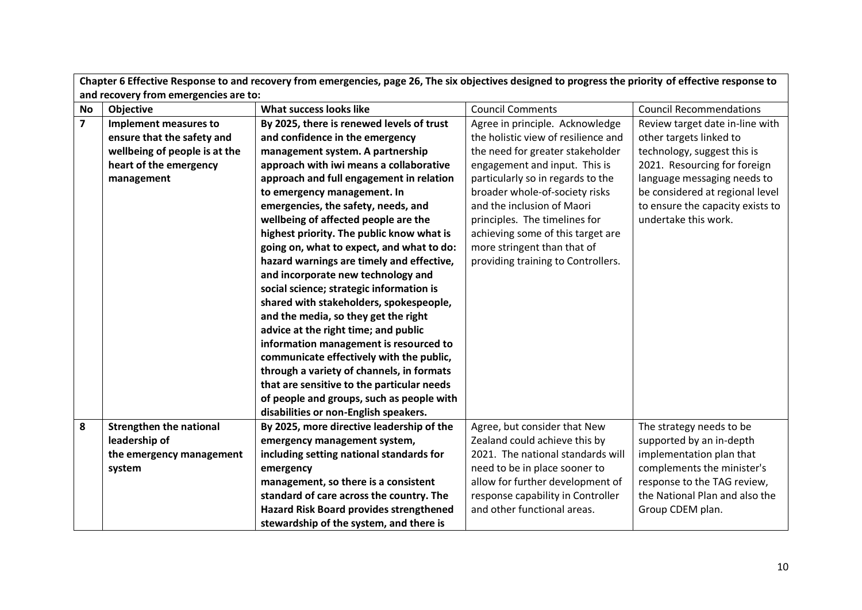|                | Chapter 6 Effective Response to and recovery from emergencies, page 26, The six objectives designed to progress the priority of effective response to |                                                |                                     |                                  |  |
|----------------|-------------------------------------------------------------------------------------------------------------------------------------------------------|------------------------------------------------|-------------------------------------|----------------------------------|--|
|                | and recovery from emergencies are to:                                                                                                                 |                                                |                                     |                                  |  |
| <b>No</b>      | <b>Objective</b>                                                                                                                                      | What success looks like                        | <b>Council Comments</b>             | <b>Council Recommendations</b>   |  |
| $\overline{7}$ | Implement measures to                                                                                                                                 | By 2025, there is renewed levels of trust      | Agree in principle. Acknowledge     | Review target date in-line with  |  |
|                | ensure that the safety and                                                                                                                            | and confidence in the emergency                | the holistic view of resilience and | other targets linked to          |  |
|                | wellbeing of people is at the                                                                                                                         | management system. A partnership               | the need for greater stakeholder    | technology, suggest this is      |  |
|                | heart of the emergency                                                                                                                                | approach with iwi means a collaborative        | engagement and input. This is       | 2021. Resourcing for foreign     |  |
|                | management                                                                                                                                            | approach and full engagement in relation       | particularly so in regards to the   | language messaging needs to      |  |
|                |                                                                                                                                                       | to emergency management. In                    | broader whole-of-society risks      | be considered at regional level  |  |
|                |                                                                                                                                                       | emergencies, the safety, needs, and            | and the inclusion of Maori          | to ensure the capacity exists to |  |
|                |                                                                                                                                                       | wellbeing of affected people are the           | principles. The timelines for       | undertake this work.             |  |
|                |                                                                                                                                                       | highest priority. The public know what is      | achieving some of this target are   |                                  |  |
|                |                                                                                                                                                       | going on, what to expect, and what to do:      | more stringent than that of         |                                  |  |
|                |                                                                                                                                                       | hazard warnings are timely and effective,      | providing training to Controllers.  |                                  |  |
|                |                                                                                                                                                       | and incorporate new technology and             |                                     |                                  |  |
|                |                                                                                                                                                       | social science; strategic information is       |                                     |                                  |  |
|                |                                                                                                                                                       | shared with stakeholders, spokespeople,        |                                     |                                  |  |
|                |                                                                                                                                                       | and the media, so they get the right           |                                     |                                  |  |
|                |                                                                                                                                                       | advice at the right time; and public           |                                     |                                  |  |
|                |                                                                                                                                                       | information management is resourced to         |                                     |                                  |  |
|                |                                                                                                                                                       | communicate effectively with the public,       |                                     |                                  |  |
|                |                                                                                                                                                       | through a variety of channels, in formats      |                                     |                                  |  |
|                |                                                                                                                                                       | that are sensitive to the particular needs     |                                     |                                  |  |
|                |                                                                                                                                                       | of people and groups, such as people with      |                                     |                                  |  |
|                |                                                                                                                                                       | disabilities or non-English speakers.          |                                     |                                  |  |
| 8              | <b>Strengthen the national</b>                                                                                                                        | By 2025, more directive leadership of the      | Agree, but consider that New        | The strategy needs to be         |  |
|                | leadership of                                                                                                                                         | emergency management system,                   | Zealand could achieve this by       | supported by an in-depth         |  |
|                | the emergency management                                                                                                                              | including setting national standards for       | 2021. The national standards will   | implementation plan that         |  |
|                | system                                                                                                                                                | emergency                                      | need to be in place sooner to       | complements the minister's       |  |
|                |                                                                                                                                                       | management, so there is a consistent           | allow for further development of    | response to the TAG review,      |  |
|                |                                                                                                                                                       | standard of care across the country. The       | response capability in Controller   | the National Plan and also the   |  |
|                |                                                                                                                                                       | <b>Hazard Risk Board provides strengthened</b> | and other functional areas.         | Group CDEM plan.                 |  |
|                |                                                                                                                                                       | stewardship of the system, and there is        |                                     |                                  |  |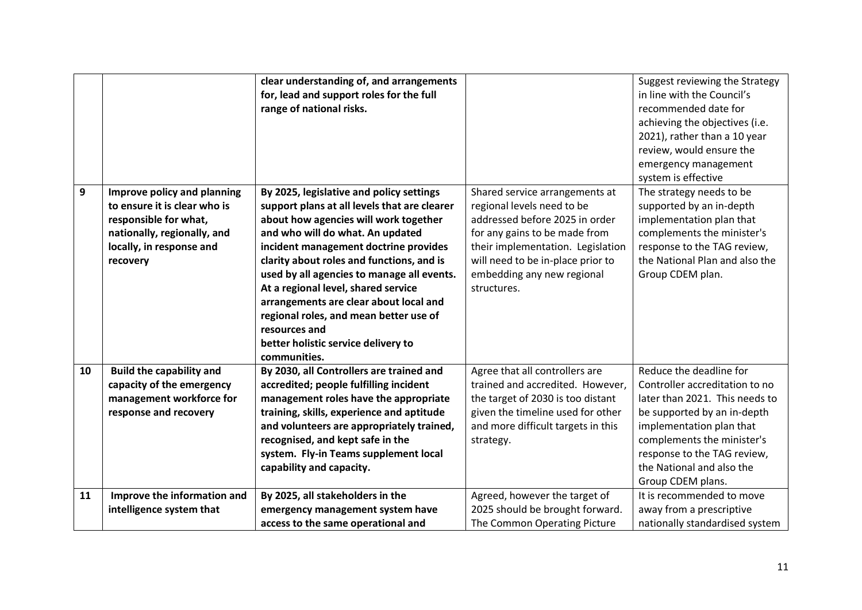|    |                                                                                                                                                             | clear understanding of, and arrangements<br>for, lead and support roles for the full<br>range of national risks.                                                                                                                                                                                                                                                                                                                                                                                             |                                                                                                                                                                                                                                                        | Suggest reviewing the Strategy<br>in line with the Council's<br>recommended date for<br>achieving the objectives (i.e.<br>2021), rather than a 10 year<br>review, would ensure the<br>emergency management<br>system is effective                                     |
|----|-------------------------------------------------------------------------------------------------------------------------------------------------------------|--------------------------------------------------------------------------------------------------------------------------------------------------------------------------------------------------------------------------------------------------------------------------------------------------------------------------------------------------------------------------------------------------------------------------------------------------------------------------------------------------------------|--------------------------------------------------------------------------------------------------------------------------------------------------------------------------------------------------------------------------------------------------------|-----------------------------------------------------------------------------------------------------------------------------------------------------------------------------------------------------------------------------------------------------------------------|
| 9  | Improve policy and planning<br>to ensure it is clear who is<br>responsible for what,<br>nationally, regionally, and<br>locally, in response and<br>recovery | By 2025, legislative and policy settings<br>support plans at all levels that are clearer<br>about how agencies will work together<br>and who will do what. An updated<br>incident management doctrine provides<br>clarity about roles and functions, and is<br>used by all agencies to manage all events.<br>At a regional level, shared service<br>arrangements are clear about local and<br>regional roles, and mean better use of<br>resources and<br>better holistic service delivery to<br>communities. | Shared service arrangements at<br>regional levels need to be<br>addressed before 2025 in order<br>for any gains to be made from<br>their implementation. Legislation<br>will need to be in-place prior to<br>embedding any new regional<br>structures. | The strategy needs to be<br>supported by an in-depth<br>implementation plan that<br>complements the minister's<br>response to the TAG review,<br>the National Plan and also the<br>Group CDEM plan.                                                                   |
| 10 | <b>Build the capability and</b><br>capacity of the emergency<br>management workforce for<br>response and recovery                                           | By 2030, all Controllers are trained and<br>accredited; people fulfilling incident<br>management roles have the appropriate<br>training, skills, experience and aptitude<br>and volunteers are appropriately trained,<br>recognised, and kept safe in the<br>system. Fly-in Teams supplement local<br>capability and capacity.                                                                                                                                                                               | Agree that all controllers are<br>trained and accredited. However,<br>the target of 2030 is too distant<br>given the timeline used for other<br>and more difficult targets in this<br>strategy.                                                        | Reduce the deadline for<br>Controller accreditation to no<br>later than 2021. This needs to<br>be supported by an in-depth<br>implementation plan that<br>complements the minister's<br>response to the TAG review,<br>the National and also the<br>Group CDEM plans. |
| 11 | Improve the information and<br>intelligence system that                                                                                                     | By 2025, all stakeholders in the<br>emergency management system have<br>access to the same operational and                                                                                                                                                                                                                                                                                                                                                                                                   | Agreed, however the target of<br>2025 should be brought forward.<br>The Common Operating Picture                                                                                                                                                       | It is recommended to move<br>away from a prescriptive<br>nationally standardised system                                                                                                                                                                               |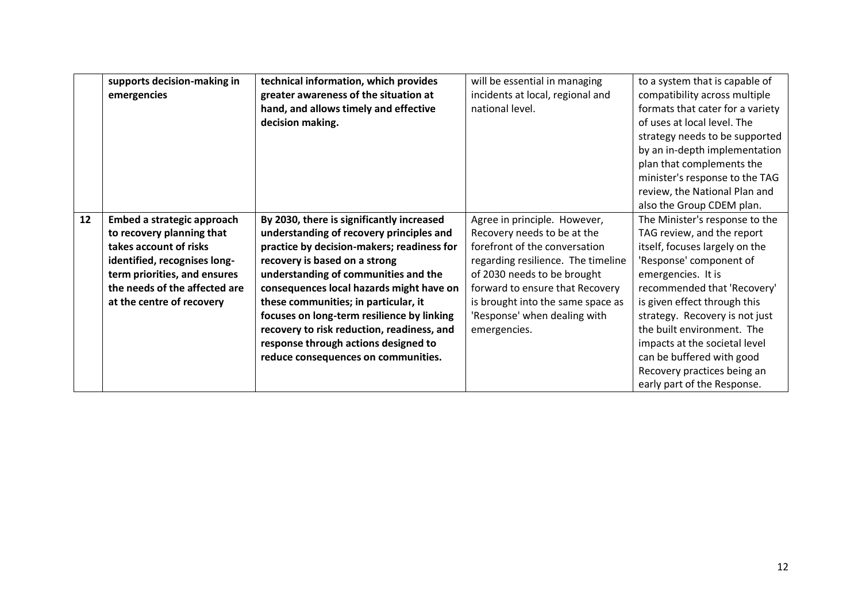|    | supports decision-making in<br>emergencies | technical information, which provides<br>greater awareness of the situation at<br>hand, and allows timely and effective<br>decision making. | will be essential in managing<br>incidents at local, regional and<br>national level. | to a system that is capable of<br>compatibility across multiple<br>formats that cater for a variety<br>of uses at local level. The<br>strategy needs to be supported<br>by an in-depth implementation |
|----|--------------------------------------------|---------------------------------------------------------------------------------------------------------------------------------------------|--------------------------------------------------------------------------------------|-------------------------------------------------------------------------------------------------------------------------------------------------------------------------------------------------------|
|    |                                            |                                                                                                                                             |                                                                                      | plan that complements the<br>minister's response to the TAG                                                                                                                                           |
|    |                                            |                                                                                                                                             |                                                                                      | review, the National Plan and                                                                                                                                                                         |
| 12 | Embed a strategic approach                 | By 2030, there is significantly increased                                                                                                   | Agree in principle. However,                                                         | also the Group CDEM plan.<br>The Minister's response to the                                                                                                                                           |
|    | to recovery planning that                  | understanding of recovery principles and                                                                                                    | Recovery needs to be at the                                                          | TAG review, and the report                                                                                                                                                                            |
|    | takes account of risks                     | practice by decision-makers; readiness for                                                                                                  | forefront of the conversation                                                        | itself, focuses largely on the                                                                                                                                                                        |
|    | identified, recognises long-               | recovery is based on a strong                                                                                                               | regarding resilience. The timeline                                                   | 'Response' component of                                                                                                                                                                               |
|    | term priorities, and ensures               | understanding of communities and the                                                                                                        | of 2030 needs to be brought                                                          | emergencies. It is                                                                                                                                                                                    |
|    | the needs of the affected are              | consequences local hazards might have on                                                                                                    | forward to ensure that Recovery                                                      | recommended that 'Recovery'                                                                                                                                                                           |
|    | at the centre of recovery                  | these communities; in particular, it                                                                                                        | is brought into the same space as                                                    | is given effect through this                                                                                                                                                                          |
|    |                                            | focuses on long-term resilience by linking                                                                                                  | 'Response' when dealing with                                                         | strategy. Recovery is not just                                                                                                                                                                        |
|    |                                            | recovery to risk reduction, readiness, and                                                                                                  | emergencies.                                                                         | the built environment. The                                                                                                                                                                            |
|    |                                            | response through actions designed to                                                                                                        |                                                                                      | impacts at the societal level                                                                                                                                                                         |
|    |                                            | reduce consequences on communities.                                                                                                         |                                                                                      | can be buffered with good                                                                                                                                                                             |
|    |                                            |                                                                                                                                             |                                                                                      |                                                                                                                                                                                                       |
|    |                                            |                                                                                                                                             |                                                                                      | Recovery practices being an                                                                                                                                                                           |
|    |                                            |                                                                                                                                             |                                                                                      | early part of the Response.                                                                                                                                                                           |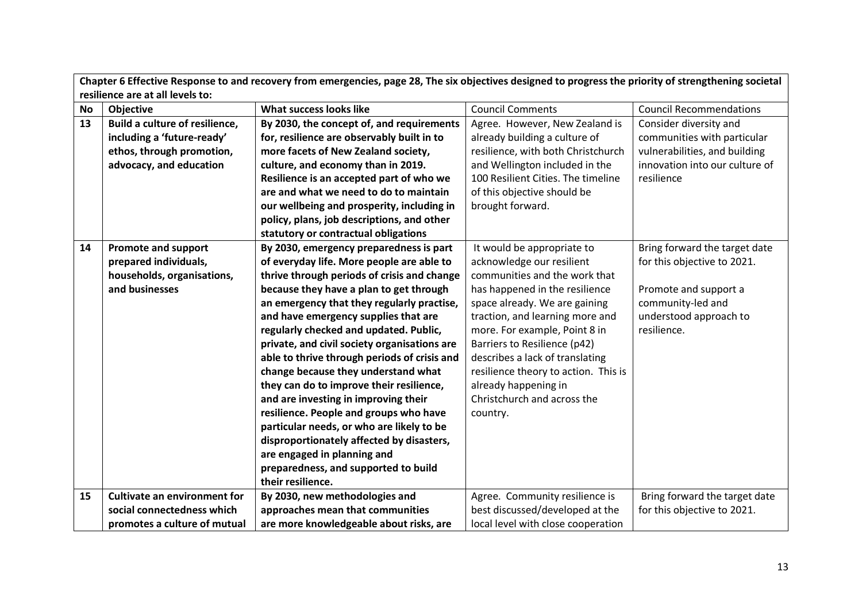|           | Chapter 6 Effective Response to and recovery from emergencies, page 28, The six objectives designed to progress the priority of strengthening societal |                                              |                                      |                                |  |
|-----------|--------------------------------------------------------------------------------------------------------------------------------------------------------|----------------------------------------------|--------------------------------------|--------------------------------|--|
|           | resilience are at all levels to:                                                                                                                       |                                              |                                      |                                |  |
| <b>No</b> | Objective                                                                                                                                              | What success looks like                      | <b>Council Comments</b>              | <b>Council Recommendations</b> |  |
| 13        | Build a culture of resilience,                                                                                                                         | By 2030, the concept of, and requirements    | Agree. However, New Zealand is       | Consider diversity and         |  |
|           | including a 'future-ready'                                                                                                                             | for, resilience are observably built in to   | already building a culture of        | communities with particular    |  |
|           | ethos, through promotion,                                                                                                                              | more facets of New Zealand society,          | resilience, with both Christchurch   | vulnerabilities, and building  |  |
|           | advocacy, and education                                                                                                                                | culture, and economy than in 2019.           | and Wellington included in the       | innovation into our culture of |  |
|           |                                                                                                                                                        | Resilience is an accepted part of who we     | 100 Resilient Cities. The timeline   | resilience                     |  |
|           |                                                                                                                                                        | are and what we need to do to maintain       | of this objective should be          |                                |  |
|           |                                                                                                                                                        | our wellbeing and prosperity, including in   | brought forward.                     |                                |  |
|           |                                                                                                                                                        | policy, plans, job descriptions, and other   |                                      |                                |  |
|           |                                                                                                                                                        | statutory or contractual obligations         |                                      |                                |  |
| 14        | <b>Promote and support</b>                                                                                                                             | By 2030, emergency preparedness is part      | It would be appropriate to           | Bring forward the target date  |  |
|           | prepared individuals,                                                                                                                                  | of everyday life. More people are able to    | acknowledge our resilient            | for this objective to 2021.    |  |
|           | households, organisations,                                                                                                                             | thrive through periods of crisis and change  | communities and the work that        |                                |  |
|           | and businesses                                                                                                                                         | because they have a plan to get through      | has happened in the resilience       | Promote and support a          |  |
|           |                                                                                                                                                        | an emergency that they regularly practise,   | space already. We are gaining        | community-led and              |  |
|           |                                                                                                                                                        | and have emergency supplies that are         | traction, and learning more and      | understood approach to         |  |
|           |                                                                                                                                                        | regularly checked and updated. Public,       | more. For example, Point 8 in        | resilience.                    |  |
|           |                                                                                                                                                        | private, and civil society organisations are | Barriers to Resilience (p42)         |                                |  |
|           |                                                                                                                                                        | able to thrive through periods of crisis and | describes a lack of translating      |                                |  |
|           |                                                                                                                                                        | change because they understand what          | resilience theory to action. This is |                                |  |
|           |                                                                                                                                                        | they can do to improve their resilience,     | already happening in                 |                                |  |
|           |                                                                                                                                                        | and are investing in improving their         | Christchurch and across the          |                                |  |
|           |                                                                                                                                                        | resilience. People and groups who have       | country.                             |                                |  |
|           |                                                                                                                                                        | particular needs, or who are likely to be    |                                      |                                |  |
|           |                                                                                                                                                        | disproportionately affected by disasters,    |                                      |                                |  |
|           |                                                                                                                                                        | are engaged in planning and                  |                                      |                                |  |
|           |                                                                                                                                                        | preparedness, and supported to build         |                                      |                                |  |
|           |                                                                                                                                                        | their resilience.                            |                                      |                                |  |
| 15        | <b>Cultivate an environment for</b>                                                                                                                    | By 2030, new methodologies and               | Agree. Community resilience is       | Bring forward the target date  |  |
|           | social connectedness which                                                                                                                             | approaches mean that communities             | best discussed/developed at the      | for this objective to 2021.    |  |
|           | promotes a culture of mutual                                                                                                                           | are more knowledgeable about risks, are      | local level with close cooperation   |                                |  |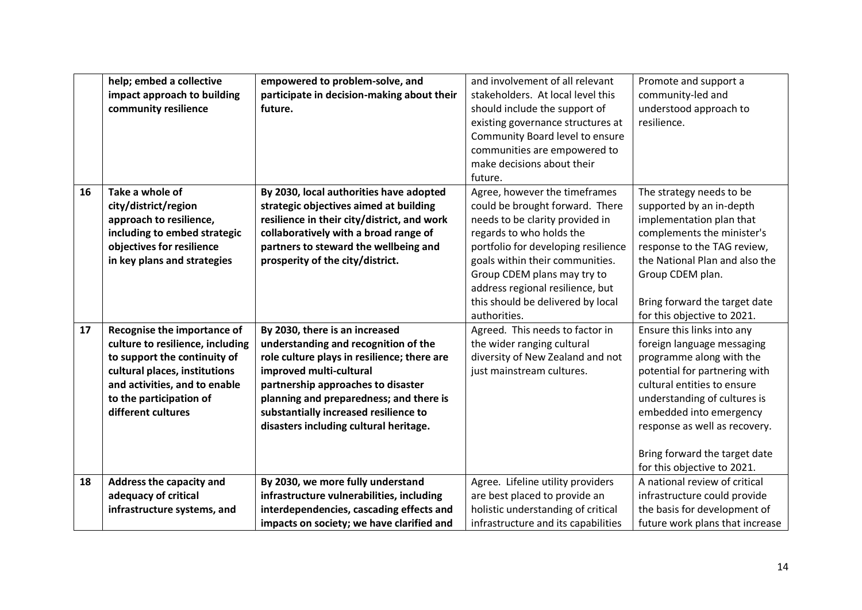|    | help; embed a collective         | empowered to problem-solve, and             | and involvement of all relevant     | Promote and support a           |
|----|----------------------------------|---------------------------------------------|-------------------------------------|---------------------------------|
|    | impact approach to building      | participate in decision-making about their  | stakeholders. At local level this   | community-led and               |
|    | community resilience             | future.                                     | should include the support of       | understood approach to          |
|    |                                  |                                             | existing governance structures at   | resilience.                     |
|    |                                  |                                             | Community Board level to ensure     |                                 |
|    |                                  |                                             | communities are empowered to        |                                 |
|    |                                  |                                             | make decisions about their          |                                 |
|    |                                  |                                             | future.                             |                                 |
| 16 | Take a whole of                  | By 2030, local authorities have adopted     | Agree, however the timeframes       | The strategy needs to be        |
|    | city/district/region             | strategic objectives aimed at building      | could be brought forward. There     | supported by an in-depth        |
|    | approach to resilience,          | resilience in their city/district, and work | needs to be clarity provided in     | implementation plan that        |
|    | including to embed strategic     | collaboratively with a broad range of       | regards to who holds the            | complements the minister's      |
|    | objectives for resilience        | partners to steward the wellbeing and       | portfolio for developing resilience | response to the TAG review,     |
|    | in key plans and strategies      | prosperity of the city/district.            | goals within their communities.     | the National Plan and also the  |
|    |                                  |                                             | Group CDEM plans may try to         | Group CDEM plan.                |
|    |                                  |                                             | address regional resilience, but    |                                 |
|    |                                  |                                             | this should be delivered by local   | Bring forward the target date   |
|    |                                  |                                             | authorities.                        | for this objective to 2021.     |
| 17 | Recognise the importance of      | By 2030, there is an increased              | Agreed. This needs to factor in     | Ensure this links into any      |
|    | culture to resilience, including | understanding and recognition of the        | the wider ranging cultural          | foreign language messaging      |
|    | to support the continuity of     | role culture plays in resilience; there are | diversity of New Zealand and not    | programme along with the        |
|    | cultural places, institutions    | improved multi-cultural                     | just mainstream cultures.           | potential for partnering with   |
|    | and activities, and to enable    | partnership approaches to disaster          |                                     | cultural entities to ensure     |
|    | to the participation of          | planning and preparedness; and there is     |                                     | understanding of cultures is    |
|    | different cultures               | substantially increased resilience to       |                                     | embedded into emergency         |
|    |                                  | disasters including cultural heritage.      |                                     | response as well as recovery.   |
|    |                                  |                                             |                                     |                                 |
|    |                                  |                                             |                                     | Bring forward the target date   |
|    |                                  |                                             |                                     | for this objective to 2021.     |
| 18 | Address the capacity and         | By 2030, we more fully understand           | Agree. Lifeline utility providers   | A national review of critical   |
|    | adequacy of critical             | infrastructure vulnerabilities, including   | are best placed to provide an       | infrastructure could provide    |
|    | infrastructure systems, and      | interdependencies, cascading effects and    | holistic understanding of critical  | the basis for development of    |
|    |                                  | impacts on society; we have clarified and   | infrastructure and its capabilities | future work plans that increase |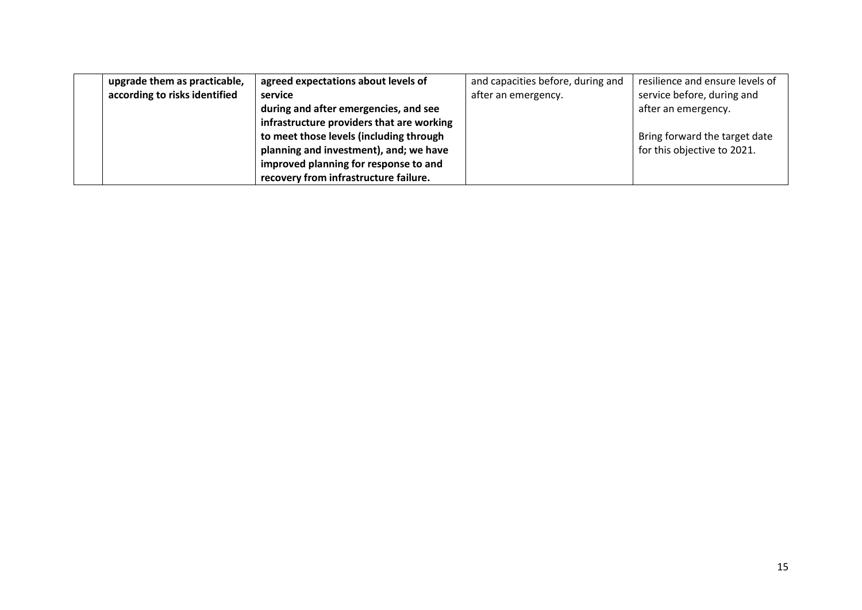| upgrade them as practicable,  | agreed expectations about levels of       | and capacities before, during and | resilience and ensure levels of |
|-------------------------------|-------------------------------------------|-----------------------------------|---------------------------------|
| according to risks identified | service                                   | after an emergency.               | service before, during and      |
|                               | during and after emergencies, and see     |                                   | after an emergency.             |
|                               | infrastructure providers that are working |                                   |                                 |
|                               | to meet those levels (including through   |                                   | Bring forward the target date   |
|                               | planning and investment), and; we have    |                                   | for this objective to 2021.     |
|                               | improved planning for response to and     |                                   |                                 |
|                               | recovery from infrastructure failure.     |                                   |                                 |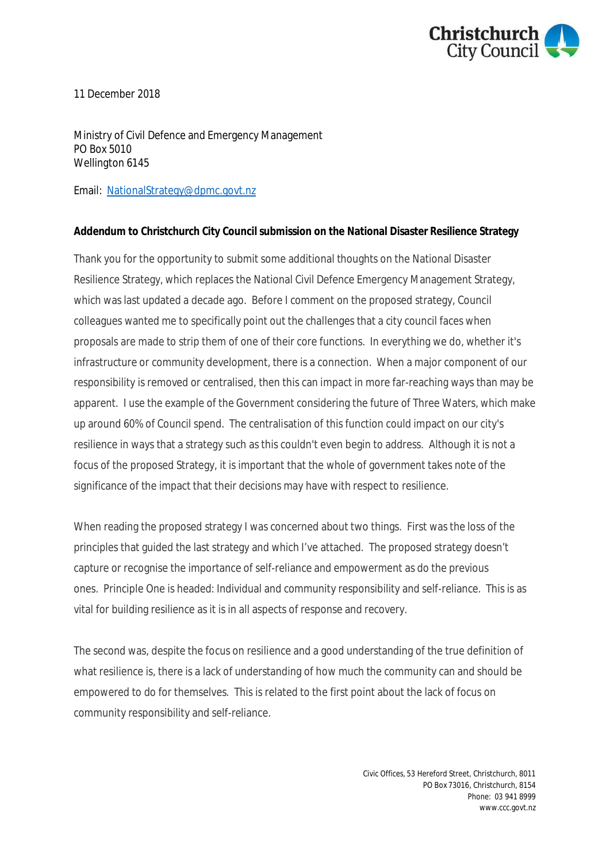

11 December 2018

Ministry of Civil Defence and Emergency Management PO Box 5010 Wellington 6145

Email: [NationalStrategy@dpmc.govt.nz](mailto:NationalStrategy@dpmc.govt.nz?subject=National%20Disaster%20Resilience%20Strategy%20submission)

### **Addendum to Christchurch City Council submission on the National Disaster Resilience Strategy**

Thank you for the opportunity to submit some additional thoughts on the National Disaster Resilience Strategy, which replaces the National Civil Defence Emergency Management Strategy, which was last updated a decade ago. Before I comment on the proposed strategy, Council colleagues wanted me to specifically point out the challenges that a city council faces when proposals are made to strip them of one of their core functions. In everything we do, whether it's infrastructure or community development, there is a connection. When a major component of our responsibility is removed or centralised, then this can impact in more far-reaching ways than may be apparent. I use the example of the Government considering the future of Three Waters, which make up around 60% of Council spend. The centralisation of this function could impact on our city's resilience in ways that a strategy such as this couldn't even begin to address. Although it is not a focus of the proposed Strategy, it is important that the whole of government takes note of the significance of the impact that their decisions may have with respect to resilience.

When reading the proposed strategy I was concerned about two things. First was the loss of the principles that guided the last strategy and which I've attached. The proposed strategy doesn't capture or recognise the importance of self-reliance and empowerment as do the previous ones. Principle One is headed: Individual and community responsibility and self-reliance. This is as vital for building resilience as it is in all aspects of response and recovery.

The second was, despite the focus on resilience and a good understanding of the true definition of what resilience is, there is a lack of understanding of how much the community can and should be empowered to do for themselves. This is related to the first point about the lack of focus on community responsibility and self-reliance.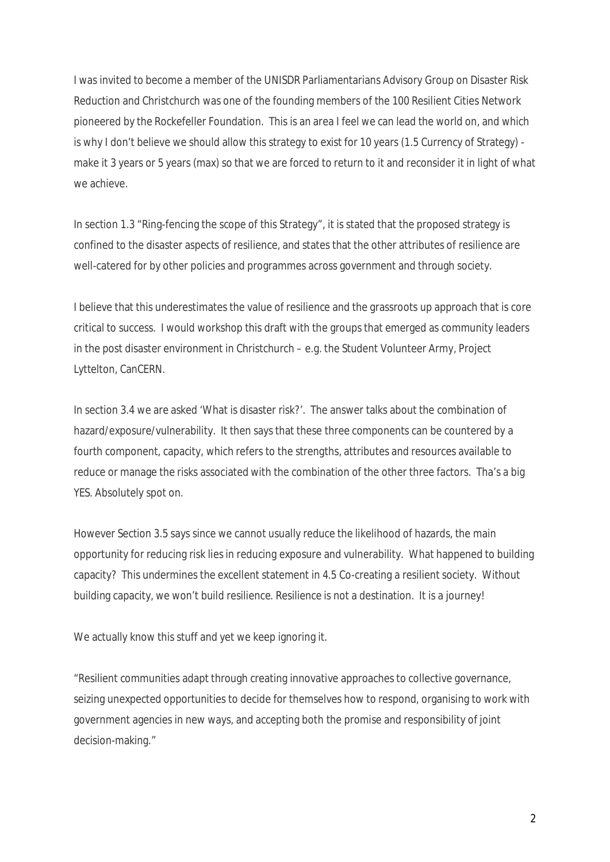I was invited to become a member of the UNISDR Parliamentarians Advisory Group on Disaster Risk Reduction and Christchurch was one of the founding members of the 100 Resilient Cities Network pioneered by the Rockefeller Foundation. This is an area I feel we can lead the world on, and which is why I don't believe we should allow this strategy to exist for 10 years (1.5 Currency of Strategy) make it 3 years or 5 years (max) so that we are forced to return to it and reconsider it in light of what we achieve.

In section 1.3 "Ring-fencing the scope of this Strategy", it is stated that the proposed strategy is confined to the disaster aspects of resilience, and states that the other attributes of resilience are well-catered for by other policies and programmes across government and through society.

I believe that this underestimates the value of resilience and the grassroots up approach that is core critical to success. I would workshop this draft with the groups that emerged as community leaders in the post disaster environment in Christchurch – e.g. the Student Volunteer Army, Project Lyttelton, CanCERN.

In section 3.4 we are asked 'What is disaster risk?'. The answer talks about the combination of hazard/exposure/vulnerability. It then says that these three components can be countered by a fourth component, capacity, which refers to the strengths, attributes and resources available to reduce or manage the risks associated with the combination of the other three factors. Tha's a big YES. Absolutely spot on.

However Section 3.5 says since we cannot usually reduce the likelihood of hazards, the main opportunity for reducing risk lies in reducing exposure and vulnerability. What happened to building capacity? This undermines the excellent statement in 4.5 Co-creating a resilient society. Without building capacity, we won't build resilience. Resilience is not a destination. It is a journey!

We actually know this stuff and yet we keep ignoring it.

"Resilient communities adapt through creating innovative approaches to collective governance, seizing unexpected opportunities to decide for themselves how to respond, organising to work with government agencies in new ways, and accepting both the promise and responsibility of joint decision-making."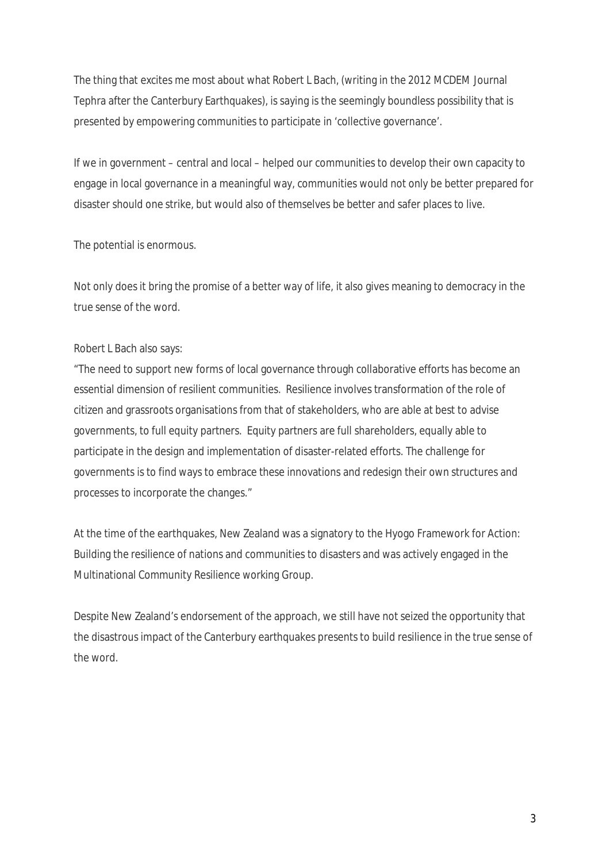The thing that excites me most about what Robert L Bach, (writing in the 2012 MCDEM Journal Tephra after the Canterbury Earthquakes), is saying is the seemingly boundless possibility that is presented by empowering communities to participate in 'collective governance'.

If we in government – central and local – helped our communities to develop their own capacity to engage in local governance in a meaningful way, communities would not only be better prepared for disaster should one strike, but would also of themselves be better and safer places to live.

The potential is enormous.

Not only does it bring the promise of a better way of life, it also gives meaning to democracy in the true sense of the word.

## Robert L Bach also says:

"The need to support new forms of local governance through collaborative efforts has become an essential dimension of resilient communities. Resilience involves transformation of the role of citizen and grassroots organisations from that of stakeholders, who are able at best to advise governments, to full equity partners. Equity partners are full shareholders, equally able to participate in the design and implementation of disaster-related efforts. The challenge for governments is to find ways to embrace these innovations and redesign their own structures and processes to incorporate the changes."

At the time of the earthquakes, New Zealand was a signatory to the Hyogo Framework for Action: Building the resilience of nations and communities to disasters and was actively engaged in the Multinational Community Resilience working Group.

Despite New Zealand's endorsement of the approach, we still have not seized the opportunity that the disastrous impact of the Canterbury earthquakes presents to build resilience in the true sense of the word.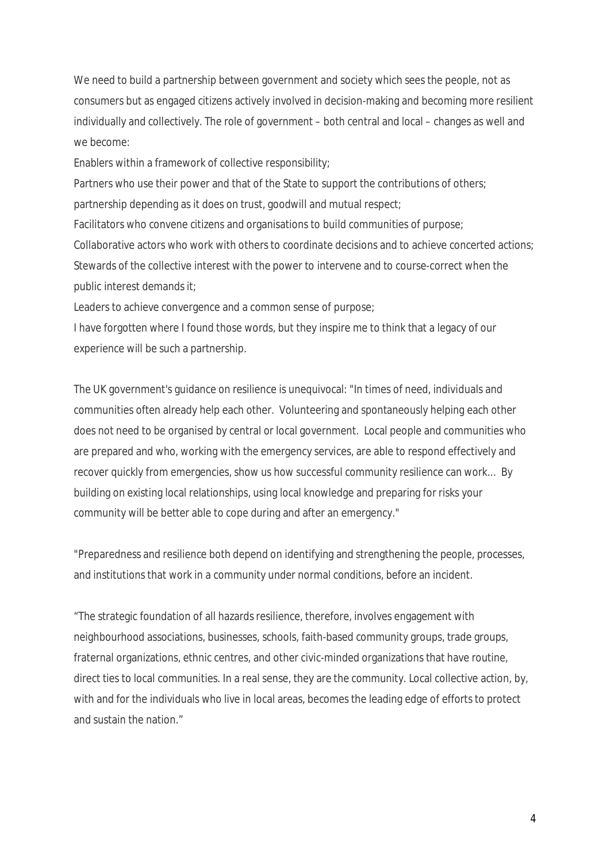We need to build a partnership between government and society which sees the people, not as consumers but as engaged citizens actively involved in decision-making and becoming more resilient individually and collectively. The role of government – both central and local – changes as well and we become:

Enablers within a framework of collective responsibility;

Partners who use their power and that of the State to support the contributions of others;

partnership depending as it does on trust, goodwill and mutual respect;

Facilitators who convene citizens and organisations to build communities of purpose;

Collaborative actors who work with others to coordinate decisions and to achieve concerted actions; Stewards of the collective interest with the power to intervene and to course-correct when the public interest demands it;

Leaders to achieve convergence and a common sense of purpose;

I have forgotten where I found those words, but they inspire me to think that a legacy of our experience will be such a partnership.

The UK government's guidance on resilience is unequivocal: "In times of need, individuals and communities often already help each other. Volunteering and spontaneously helping each other does not need to be organised by central or local government. Local people and communities who are prepared and who, working with the emergency services, are able to respond effectively and recover quickly from emergencies, show us how successful community resilience can work... By building on existing local relationships, using local knowledge and preparing for risks your community will be better able to cope during and after an emergency."

"Preparedness and resilience both depend on identifying and strengthening the people, processes, and institutions that work in a community under normal conditions, before an incident.

"The strategic foundation of all hazards resilience, therefore, involves engagement with neighbourhood associations, businesses, schools, faith-based community groups, trade groups, fraternal organizations, ethnic centres, and other civic-minded organizations that have routine, direct ties to local communities. In a real sense, they are the community. Local collective action, by, with and for the individuals who live in local areas, becomes the leading edge of efforts to protect and sustain the nation."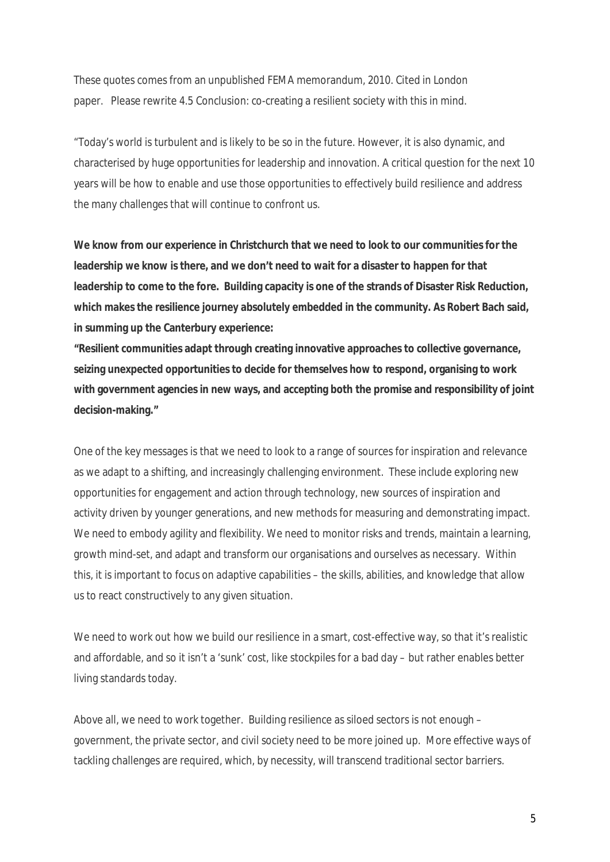These quotes comes from an unpublished FEMA memorandum, 2010. Cited in London paper. Please rewrite 4.5 Conclusion: co-creating a resilient society with this in mind.

"Today's world is turbulent and is likely to be so in the future. However, it is also dynamic, and characterised by huge opportunities for leadership and innovation. A critical question for the next 10 years will be how to enable and use those opportunities to effectively build resilience and address the many challenges that will continue to confront us.

**We know from our experience in Christchurch that we need to look to our communities for the leadership we know is there, and we don't need to wait for a disaster to happen for that leadership to come to the fore. Building capacity is one of the strands of Disaster Risk Reduction, which makes the resilience journey absolutely embedded in the community. As Robert Bach said, in summing up the Canterbury experience:**

**"Resilient communities adapt through creating innovative approaches to collective governance, seizing unexpected opportunities to decide for themselves how to respond, organising to work with government agencies in new ways, and accepting both the promise and responsibility of joint decision-making."**

One of the key messages is that we need to look to a range of sources for inspiration and relevance as we adapt to a shifting, and increasingly challenging environment. These include exploring new opportunities for engagement and action through technology, new sources of inspiration and activity driven by younger generations, and new methods for measuring and demonstrating impact. We need to embody agility and flexibility. We need to monitor risks and trends, maintain a learning, growth mind-set, and adapt and transform our organisations and ourselves as necessary. Within this, it is important to focus on adaptive capabilities – the skills, abilities, and knowledge that allow us to react constructively to any given situation.

We need to work out how we build our resilience in a smart, cost-effective way, so that it's realistic and affordable, and so it isn't a 'sunk' cost, like stockpiles for a bad day – but rather enables better living standards today.

Above all, we need to work together. Building resilience as siloed sectors is not enough – government, the private sector, and civil society need to be more joined up. More effective ways of tackling challenges are required, which, by necessity, will transcend traditional sector barriers.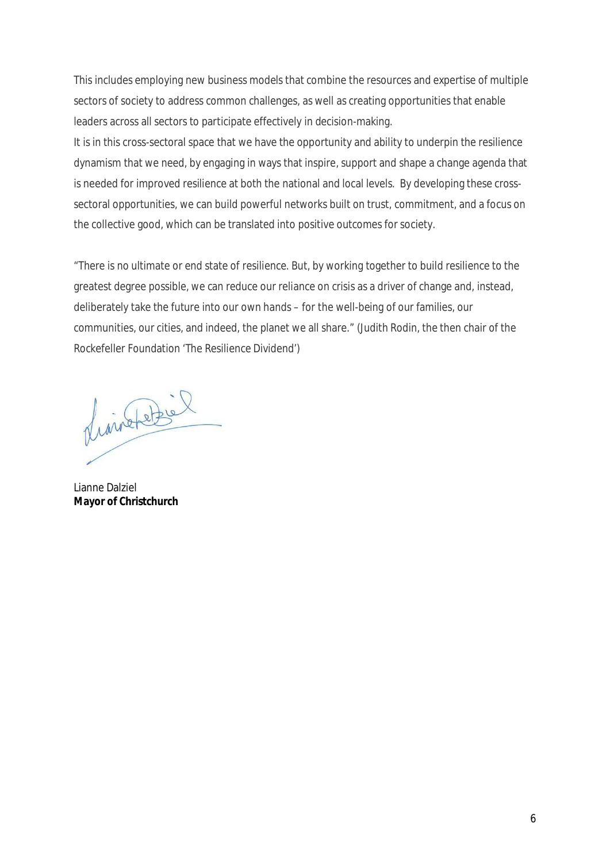This includes employing new business models that combine the resources and expertise of multiple sectors of society to address common challenges, as well as creating opportunities that enable leaders across all sectors to participate effectively in decision-making.

It is in this cross-sectoral space that we have the opportunity and ability to underpin the resilience dynamism that we need, by engaging in ways that inspire, support and shape a change agenda that is needed for improved resilience at both the national and local levels. By developing these crosssectoral opportunities, we can build powerful networks built on trust, commitment, and a focus on the collective good, which can be translated into positive outcomes for society.

"There is no ultimate or end state of resilience. But, by working together to build resilience to the greatest degree possible, we can reduce our reliance on crisis as a driver of change and, instead, deliberately take the future into our own hands – for the well-being of our families, our communities, our cities, and indeed, the planet we all share." (Judith Rodin, the then chair of the Rockefeller Foundation 'The Resilience Dividend')

divinate de

Lianne Dalziel **Mayor of Christchurch**